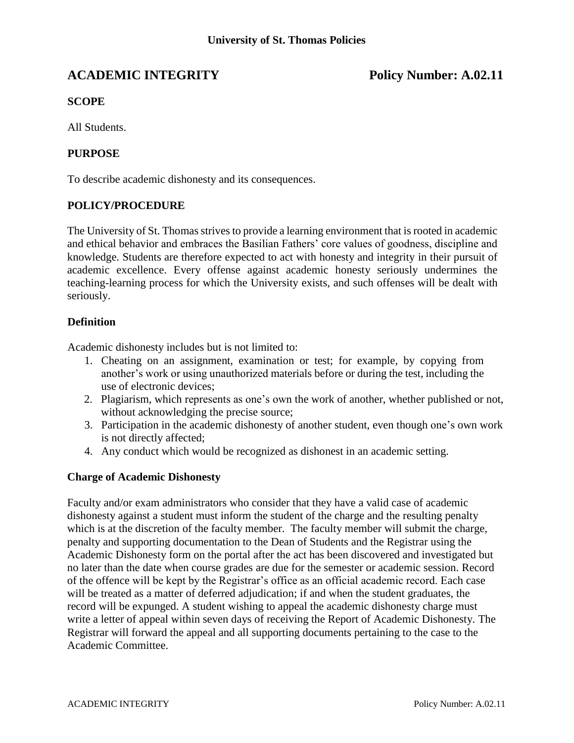# **ACADEMIC INTEGRITY Policy Number: A.02.11**

# **SCOPE**

All Students.

## **PURPOSE**

To describe academic dishonesty and its consequences.

#### **POLICY/PROCEDURE**

The University of St. Thomas strives to provide a learning environment that is rooted in academic and ethical behavior and embraces the Basilian Fathers' core values of goodness, discipline and knowledge. Students are therefore expected to act with honesty and integrity in their pursuit of academic excellence. Every offense against academic honesty seriously undermines the teaching-learning process for which the University exists, and such offenses will be dealt with seriously.

### **Definition**

Academic dishonesty includes but is not limited to:

- 1. Cheating on an assignment, examination or test; for example, by copying from another's work or using unauthorized materials before or during the test, including the use of electronic devices;
- 2. Plagiarism, which represents as one's own the work of another, whether published or not, without acknowledging the precise source;
- 3. Participation in the academic dishonesty of another student, even though one's own work is not directly affected;
- 4. Any conduct which would be recognized as dishonest in an academic setting.

#### **Charge of Academic Dishonesty**

Faculty and/or exam administrators who consider that they have a valid case of academic dishonesty against a student must inform the student of the charge and the resulting penalty which is at the discretion of the faculty member. The faculty member will submit the charge, penalty and supporting documentation to the Dean of Students and the Registrar using the Academic Dishonesty form on the portal after the act has been discovered and investigated but no later than the date when course grades are due for the semester or academic session. Record of the offence will be kept by the Registrar's office as an official academic record. Each case will be treated as a matter of deferred adjudication; if and when the student graduates, the record will be expunged. A student wishing to appeal the academic dishonesty charge must write a letter of appeal within seven days of receiving the Report of Academic Dishonesty. The Registrar will forward the appeal and all supporting documents pertaining to the case to the Academic Committee.